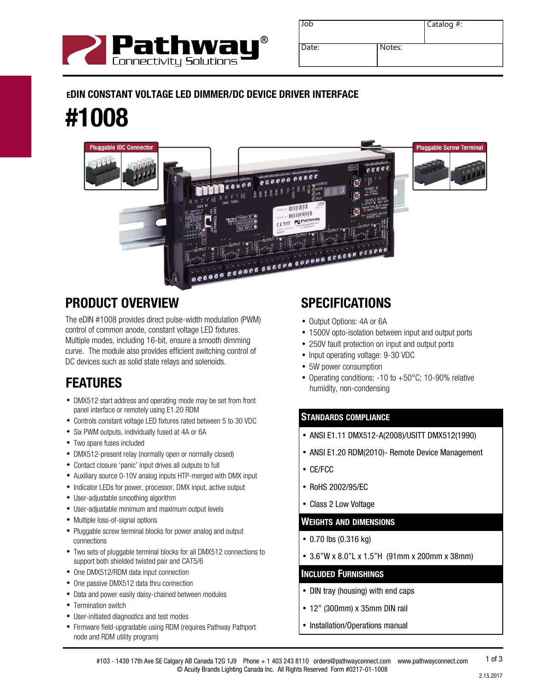

| Job   |        | Catalog $#$ : |
|-------|--------|---------------|
| Date: | Notes: |               |

### EDIN CONSTANT VOLTAGE LED DIMMER/DC DEVICE DRIVER INTERFACE

# #1008



### PRODUCT OVERVIEW

The eDIN #1008 provides direct pulse-width modulation (PWM) control of common anode, constant voltage LED fixtures. Multiple modes, including 16-bit, ensure a smooth dimming curve. The module also provides efficient switching control of DC devices such as solid state relays and solenoids.

- DMX512 start address and operating mode may be set from front panel interface or remotely using E1.20 RDM
- Controls constant voltage LED fixtures rated between 5 to 30 VDC
- Six PWM outputs, individually fused at 4A or 6A
- Two spare fuses included
- DMX512-present relay (normally open or normally closed)
- Contact closure 'panic' input drives all outputs to full
- Auxiliary source 0-10V analog inputs HTP-merged with DMX input
- Indicator LEDs for power, processor, DMX input, active output
- User-adjustable smoothing algorithm
- User-adjustable minimum and maximum output levels
- Multiple loss-of-signal options
- Pluggable screw terminal blocks for power analog and output connections
- Two sets of pluggable terminal blocks for all DMX512 connections to support both shielded twisted pair and CAT5/6
- One DMX512/RDM data input connection
- One passive DMX512 data thru connection
- Data and power easily daisy-chained between modules
- Termination switch
- User-initiated diagnostics and test modes
- Firmware field-upgradable using RDM (requires Pathway Pathport node and RDM utility program)

### **SPECIFICATIONS**

- Output Options: 4A or 6A
- 1500V opto-isolation between input and output ports
- 250V fault protection on input and output ports
- Input operating voltage: 9-30 VDC
- 5W power consumption
- Operating conditions: -10 to +50°C; 10-90% relative **FEATURES FEATURES CONSIDERS PEATURES**

#### STANDARDS COMPLIANCE

- ANSI E1.11 DMX512-A(2008)/USITT DMX512(1990)
- ANSI E1.20 RDM(2010)- Remote Device Management
- CE/FCC
- RoHS 2002/95/EC
- Class 2 Low Voltage

#### WEIGHTS AND DIMENSIONS

- 0.70 lbs (0.316 kg)
- 3.6"W x 8.0"L x 1.5"H (91mm x 200mm x 38mm)

#### INCLUDED FURNISHINGS

- DIN tray (housing) with end caps
- 12" (300mm) x 35mm DIN rail
- Installation/Operations manual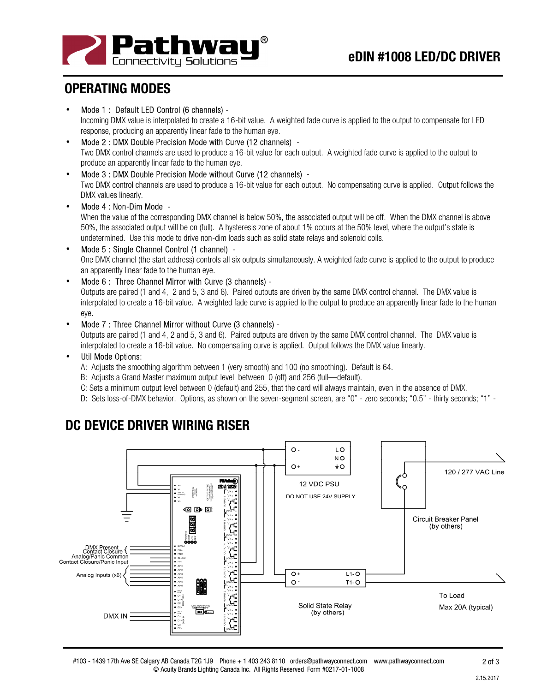

### OPERATING MODES

• Mode 1 : Default LED Control (6 channels) -

Incoming DMX value is interpolated to create a 16-bit value. A weighted fade curve is applied to the output to compensate for LED response, producing an apparently linear fade to the human eye.

- Mode 2 : DMX Double Precision Mode with Curve (12 channels) Two DMX control channels are used to produce a 16-bit value for each output. A weighted fade curve is applied to the output to produce an apparently linear fade to the human eye.
- Mode 3 : DMX Double Precision Mode without Curve (12 channels) Two DMX control channels are used to produce a 16-bit value for each output. No compensating curve is applied. Output follows the DMX values linearly.
- Mode 4 : Non-Dim Mode -

When the value of the corresponding DMX channel is below 50%, the associated output will be off. When the DMX channel is above 50%, the associated output will be on (full). A hysteresis zone of about 1% occurs at the 50% level, where the output's state is undetermined. Use this mode to drive non-dim loads such as solid state relays and solenoid coils.

- Mode 5 : Single Channel Control (1 channel) One DMX channel (the start address) controls all six outputs simultaneously. A weighted fade curve is applied to the output to produce an apparently linear fade to the human eye.
- Mode 6 : Three Channel Mirror with Curve (3 channels) -

Outputs are paired (1 and 4, 2 and 5, 3 and 6). Paired outputs are driven by the same DMX control channel. The DMX value is interpolated to create a 16-bit value. A weighted fade curve is applied to the output to produce an apparently linear fade to the human eye.

• Mode 7 : Three Channel Mirror without Curve (3 channels) -

Outputs are paired (1 and 4, 2 and 5, 3 and 6). Paired outputs are driven by the same DMX control channel. The DMX value is interpolated to create a 16-bit value. No compensating curve is applied. Output follows the DMX value linearly.

#### Util Mode Options:

A: Adjusts the smoothing algorithm between 1 (very smooth) and 100 (no smoothing). Default is 64.

- B: Adjusts a Grand Master maximum output level between 0 (off) and 256 (full—default).
- C: Sets a minimum output level between 0 (default) and 255, that the card will always maintain, even in the absence of DMX.
- D: Sets loss-of-DMX behavior. Options, as shown on the seven-segment screen, are "0" zero seconds; "0.5" thirty seconds; "1" -



## DC DEVICE DRIVER WIRING RISER